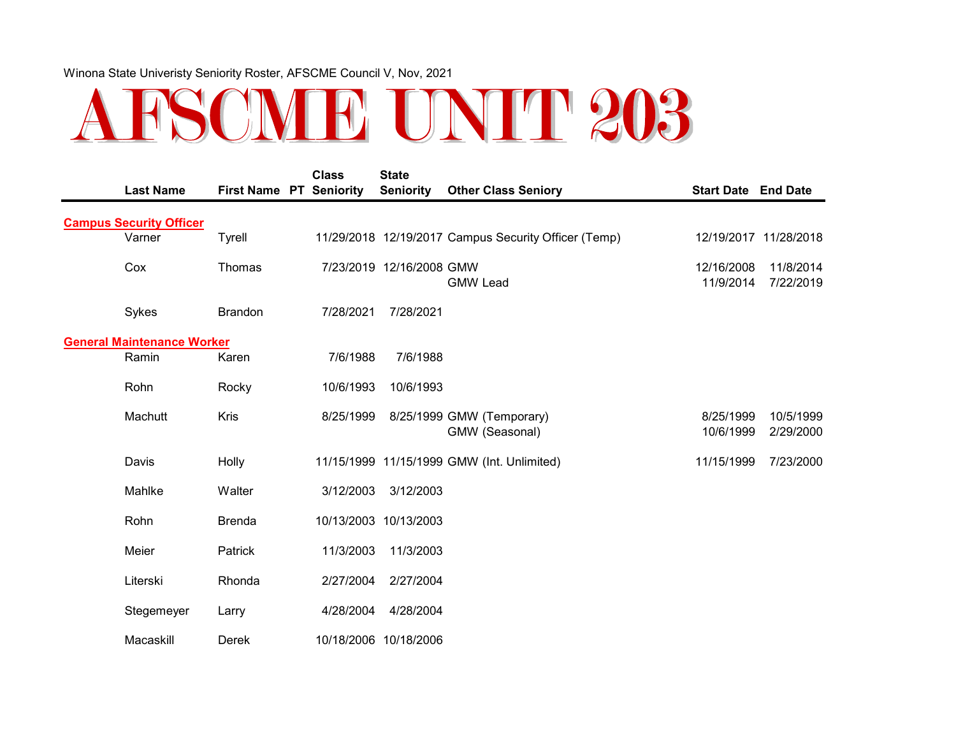## ARSCME UNIT 203

| <b>Last Name</b>                  | <b>First Name PT Seniority</b> | <b>Class</b> | <b>State</b><br><b>Seniority</b> | <b>Other Class Seniory</b>                           | <b>Start Date End Date</b> |                        |
|-----------------------------------|--------------------------------|--------------|----------------------------------|------------------------------------------------------|----------------------------|------------------------|
| <b>Campus Security Officer</b>    |                                |              |                                  |                                                      |                            |                        |
| Varner                            | Tyrell                         |              |                                  | 11/29/2018 12/19/2017 Campus Security Officer (Temp) |                            | 12/19/2017 11/28/2018  |
| Cox                               | Thomas                         |              | 7/23/2019 12/16/2008 GMW         | <b>GMW Lead</b>                                      | 12/16/2008<br>11/9/2014    | 11/8/2014<br>7/22/2019 |
| Sykes                             | <b>Brandon</b>                 | 7/28/2021    | 7/28/2021                        |                                                      |                            |                        |
| <b>General Maintenance Worker</b> |                                |              |                                  |                                                      |                            |                        |
| Ramin                             | Karen                          | 7/6/1988     | 7/6/1988                         |                                                      |                            |                        |
| Rohn                              | Rocky                          | 10/6/1993    | 10/6/1993                        |                                                      |                            |                        |
| Machutt                           | Kris                           | 8/25/1999    |                                  | 8/25/1999 GMW (Temporary)<br>GMW (Seasonal)          | 8/25/1999<br>10/6/1999     | 10/5/1999<br>2/29/2000 |
| Davis                             | Holly                          |              |                                  | 11/15/1999 11/15/1999 GMW (Int. Unlimited)           | 11/15/1999                 | 7/23/2000              |
| Mahlke                            | Walter                         | 3/12/2003    | 3/12/2003                        |                                                      |                            |                        |
| Rohn                              | <b>Brenda</b>                  |              | 10/13/2003 10/13/2003            |                                                      |                            |                        |
| Meier                             | Patrick                        | 11/3/2003    | 11/3/2003                        |                                                      |                            |                        |
| Literski                          | Rhonda                         | 2/27/2004    | 2/27/2004                        |                                                      |                            |                        |
| Stegemeyer                        | Larry                          | 4/28/2004    | 4/28/2004                        |                                                      |                            |                        |
| Macaskill                         | Derek                          |              | 10/18/2006 10/18/2006            |                                                      |                            |                        |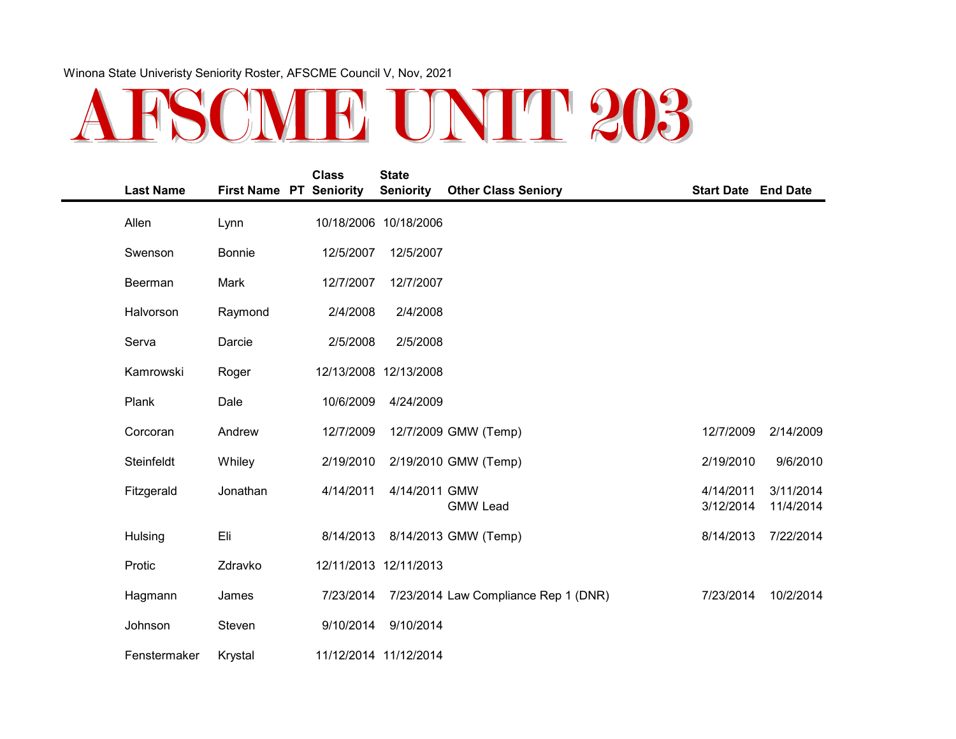## ARSOME UNIT 203

| <b>Last Name</b> | <b>First Name PT Seniority</b> | <b>Class</b> | <b>State</b><br><b>Seniority</b> | <b>Other Class Seniory</b>           | <b>Start Date End Date</b> |                        |
|------------------|--------------------------------|--------------|----------------------------------|--------------------------------------|----------------------------|------------------------|
| Allen            | Lynn                           |              | 10/18/2006 10/18/2006            |                                      |                            |                        |
| Swenson          | <b>Bonnie</b>                  | 12/5/2007    | 12/5/2007                        |                                      |                            |                        |
| Beerman          | Mark                           | 12/7/2007    | 12/7/2007                        |                                      |                            |                        |
| Halvorson        | Raymond                        | 2/4/2008     | 2/4/2008                         |                                      |                            |                        |
| Serva            | Darcie                         | 2/5/2008     | 2/5/2008                         |                                      |                            |                        |
| Kamrowski        | Roger                          |              | 12/13/2008 12/13/2008            |                                      |                            |                        |
| Plank            | Dale                           | 10/6/2009    | 4/24/2009                        |                                      |                            |                        |
| Corcoran         | Andrew                         | 12/7/2009    |                                  | 12/7/2009 GMW (Temp)                 | 12/7/2009                  | 2/14/2009              |
| Steinfeldt       | Whiley                         | 2/19/2010    |                                  | 2/19/2010 GMW (Temp)                 | 2/19/2010                  | 9/6/2010               |
| Fitzgerald       | Jonathan                       | 4/14/2011    | 4/14/2011 GMW                    | <b>GMW Lead</b>                      | 4/14/2011<br>3/12/2014     | 3/11/2014<br>11/4/2014 |
| Hulsing          | Eli                            | 8/14/2013    |                                  | 8/14/2013 GMW (Temp)                 | 8/14/2013                  | 7/22/2014              |
| Protic           | Zdravko                        |              | 12/11/2013 12/11/2013            |                                      |                            |                        |
| Hagmann          | James                          | 7/23/2014    |                                  | 7/23/2014 Law Compliance Rep 1 (DNR) | 7/23/2014                  | 10/2/2014              |
| Johnson          | Steven                         | 9/10/2014    | 9/10/2014                        |                                      |                            |                        |
| Fenstermaker     | Krystal                        |              | 11/12/2014 11/12/2014            |                                      |                            |                        |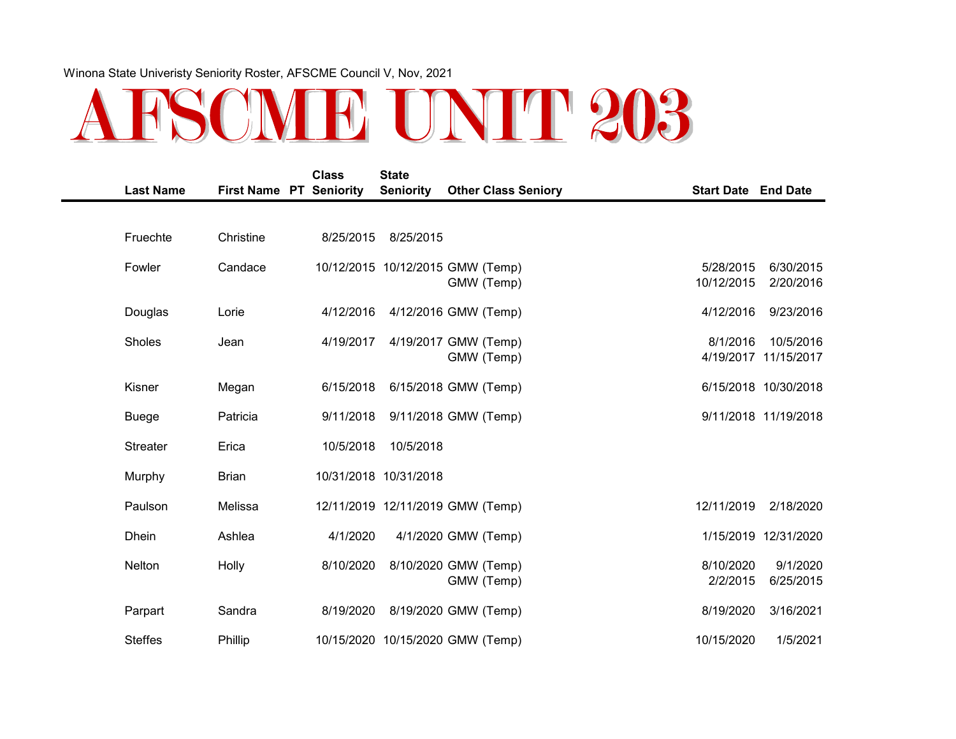## ARSCME UNIT 203

| <b>Last Name</b> | <b>First Name PT Seniority</b> | <b>Class</b> | <b>State</b><br><b>Seniority</b> | <b>Other Class Seniory</b>                     | <b>Start Date End Date</b> |                                   |
|------------------|--------------------------------|--------------|----------------------------------|------------------------------------------------|----------------------------|-----------------------------------|
|                  |                                |              |                                  |                                                |                            |                                   |
| Fruechte         | Christine                      | 8/25/2015    | 8/25/2015                        |                                                |                            |                                   |
| Fowler           | Candace                        |              |                                  | 10/12/2015 10/12/2015 GMW (Temp)<br>GMW (Temp) | 5/28/2015<br>10/12/2015    | 6/30/2015<br>2/20/2016            |
| Douglas          | Lorie                          | 4/12/2016    |                                  | 4/12/2016 GMW (Temp)                           | 4/12/2016                  | 9/23/2016                         |
| Sholes           | Jean                           | 4/19/2017    |                                  | 4/19/2017 GMW (Temp)<br>GMW (Temp)             | 8/1/2016                   | 10/5/2016<br>4/19/2017 11/15/2017 |
| Kisner           | Megan                          | 6/15/2018    |                                  | 6/15/2018 GMW (Temp)                           |                            | 6/15/2018 10/30/2018              |
| <b>Buege</b>     | Patricia                       | 9/11/2018    |                                  | 9/11/2018 GMW (Temp)                           |                            | 9/11/2018 11/19/2018              |
| <b>Streater</b>  | Erica                          | 10/5/2018    | 10/5/2018                        |                                                |                            |                                   |
| Murphy           | <b>Brian</b>                   |              | 10/31/2018 10/31/2018            |                                                |                            |                                   |
| Paulson          | Melissa                        |              |                                  | 12/11/2019 12/11/2019 GMW (Temp)               | 12/11/2019                 | 2/18/2020                         |
| <b>Dhein</b>     | Ashlea                         | 4/1/2020     |                                  | 4/1/2020 GMW (Temp)                            |                            | 1/15/2019 12/31/2020              |
| Nelton           | Holly                          | 8/10/2020    |                                  | 8/10/2020 GMW (Temp)<br>GMW (Temp)             | 8/10/2020<br>2/2/2015      | 9/1/2020<br>6/25/2015             |
| Parpart          | Sandra                         | 8/19/2020    |                                  | 8/19/2020 GMW (Temp)                           | 8/19/2020                  | 3/16/2021                         |
| <b>Steffes</b>   | Phillip                        |              |                                  | 10/15/2020 10/15/2020 GMW (Temp)               | 10/15/2020                 | 1/5/2021                          |